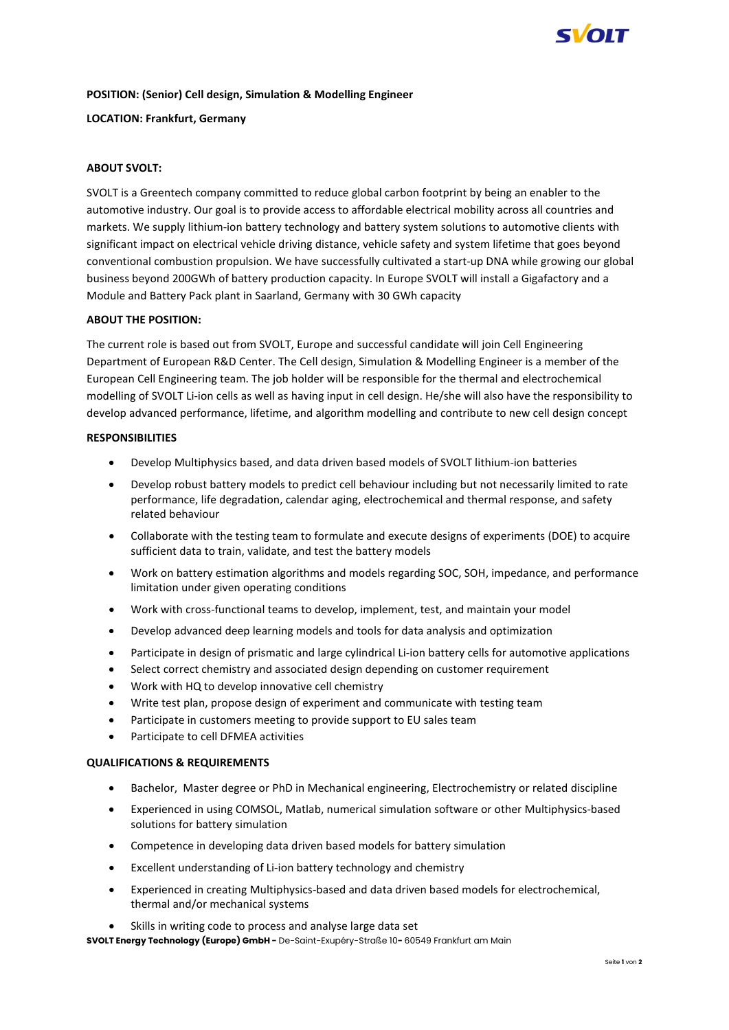

## **POSITION: (Senior) Cell design, Simulation & Modelling Engineer**

### **LOCATION: Frankfurt, Germany**

# **ABOUT SVOLT:**

SVOLT is a Greentech company committed to reduce global carbon footprint by being an enabler to the automotive industry. Our goal is to provide access to affordable electrical mobility across all countries and markets. We supply lithium-ion battery technology and battery system solutions to automotive clients with significant impact on electrical vehicle driving distance, vehicle safety and system lifetime that goes beyond conventional combustion propulsion. We have successfully cultivated a start-up DNA while growing our global business beyond 200GWh of battery production capacity. In Europe SVOLT will install a Gigafactory and a Module and Battery Pack plant in Saarland, Germany with 30 GWh capacity

## **ABOUT THE POSITION:**

The current role is based out from SVOLT, Europe and successful candidate will join Cell Engineering Department of European R&D Center. The Cell design, Simulation & Modelling Engineer is a member of the European Cell Engineering team. The job holder will be responsible for the thermal and electrochemical modelling of SVOLT Li-ion cells as well as having input in cell design. He/she will also have the responsibility to develop advanced performance, lifetime, and algorithm modelling and contribute to new cell design concept

#### **RESPONSIBILITIES**

- Develop Multiphysics based, and data driven based models of SVOLT lithium-ion batteries
- Develop robust battery models to predict cell behaviour including but not necessarily limited to rate performance, life degradation, calendar aging, electrochemical and thermal response, and safety related behaviour
- Collaborate with the testing team to formulate and execute designs of experiments (DOE) to acquire sufficient data to train, validate, and test the battery models
- Work on battery estimation algorithms and models regarding SOC, SOH, impedance, and performance limitation under given operating conditions
- Work with cross-functional teams to develop, implement, test, and maintain your model
- Develop advanced deep learning models and tools for data analysis and optimization
- Participate in design of prismatic and large cylindrical Li-ion battery cells for automotive applications
- Select correct chemistry and associated design depending on customer requirement
- Work with HQ to develop innovative cell chemistry
- Write test plan, propose design of experiment and communicate with testing team
- Participate in customers meeting to provide support to EU sales team
- Participate to cell DFMEA activities

#### **QUALIFICATIONS & REQUIREMENTS**

- Bachelor, Master degree or PhD in Mechanical engineering, Electrochemistry or related discipline
- Experienced in using COMSOL, Matlab, numerical simulation software or other Multiphysics-based solutions for battery simulation
- Competence in developing data driven based models for battery simulation
- Excellent understanding of Li-ion battery technology and chemistry
- Experienced in creating Multiphysics-based and data driven based models for electrochemical, thermal and/or mechanical systems
- Skills in writing code to process and analyse large data set

**SVOLT Energy Technology (Europe) GmbH -** De-Saint-Exupéry-Straße 10**-** 60549 Frankfurt am Main